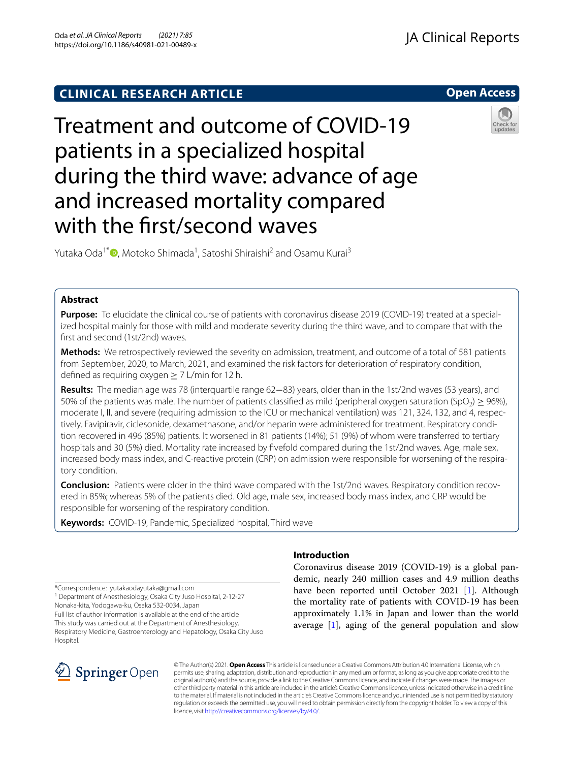# **CLINICAL RESEARCH ARTICLE**

**Open Access**

# Treatment and outcome of COVID-19 patients in a specialized hospital during the third wave: advance of age and increased mortality compared with the frst/second waves



Yutaka Oda<sup>1\*</sup>®[,](http://orcid.org/0000-0002-1111-7162) Motoko Shimada<sup>1</sup>, Satoshi Shiraishi<sup>2</sup> and Osamu Kurai<sup>3</sup>

# **Abstract**

**Purpose:** To elucidate the clinical course of patients with coronavirus disease 2019 (COVID-19) treated at a specialized hospital mainly for those with mild and moderate severity during the third wave, and to compare that with the frst and second (1st/2nd) waves.

**Methods:** We retrospectively reviewed the severity on admission, treatment, and outcome of a total of 581 patients from September, 2020, to March, 2021, and examined the risk factors for deterioration of respiratory condition, defined as requiring oxygen  $\geq 7$  L/min for 12 h.

**Results:** The median age was 78 (interquartile range 62−83) years, older than in the 1st/2nd waves (53 years), and 50% of the patients was male. The number of patients classified as mild (peripheral oxygen saturation (SpO<sub>2</sub>) > 96%), moderate I, II, and severe (requiring admission to the ICU or mechanical ventilation) was 121, 324, 132, and 4, respectively. Favipiravir, ciclesonide, dexamethasone, and/or heparin were administered for treatment. Respiratory condition recovered in 496 (85%) patients. It worsened in 81 patients (14%); 51 (9%) of whom were transferred to tertiary hospitals and 30 (5%) died. Mortality rate increased by fvefold compared during the 1st/2nd waves. Age, male sex, increased body mass index, and C-reactive protein (CRP) on admission were responsible for worsening of the respiratory condition.

**Conclusion:** Patients were older in the third wave compared with the 1st/2nd waves. Respiratory condition recovered in 85%; whereas 5% of the patients died. Old age, male sex, increased body mass index, and CRP would be responsible for worsening of the respiratory condition.

**Keywords:** COVID-19, Pandemic, Specialized hospital, Third wave

\*Correspondence: yutakaodayutaka@gmail.com

<sup>1</sup> Department of Anesthesiology, Osaka City Juso Hospital, 2-12-27 Nonaka-kita, Yodogawa-ku, Osaka 532-0034, Japan

Full list of author information is available at the end of the article This study was carried out at the Department of Anesthesiology, Respiratory Medicine, Gastroenterology and Hepatology, Osaka City Juso **Hospital** 

# SpringerOpen

# **Introduction**

Coronavirus disease 2019 (COVID-19) is a global pandemic, nearly 240 million cases and 4.9 million deaths have been reported until October 2021 [[1\]](#page-6-0). Although the mortality rate of patients with COVID-19 has been approximately 1.1% in Japan and lower than the world average [\[1](#page-6-0)], aging of the general population and slow

© The Author(s) 2021. **Open Access** This article is licensed under a Creative Commons Attribution 4.0 International License, which permits use, sharing, adaptation, distribution and reproduction in any medium or format, as long as you give appropriate credit to the original author(s) and the source, provide a link to the Creative Commons licence, and indicate if changes were made. The images or other third party material in this article are included in the article's Creative Commons licence, unless indicated otherwise in a credit line to the material. If material is not included in the article's Creative Commons licence and your intended use is not permitted by statutory regulation or exceeds the permitted use, you will need to obtain permission directly from the copyright holder. To view a copy of this licence, visit [http://creativecommons.org/licenses/by/4.0/.](http://creativecommons.org/licenses/by/4.0/)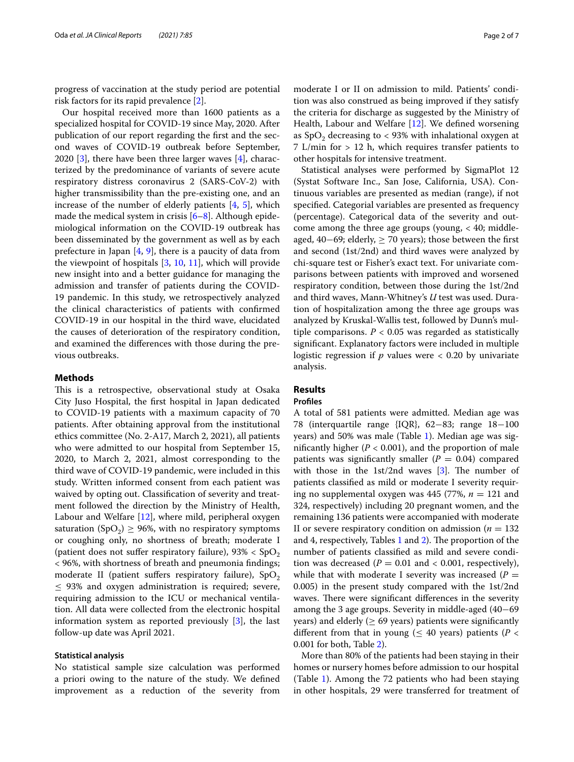progress of vaccination at the study period are potential risk factors for its rapid prevalence [[2\]](#page-6-1).

Our hospital received more than 1600 patients as a specialized hospital for COVID-19 since May, 2020. After publication of our report regarding the frst and the second waves of COVID-19 outbreak before September, 2020  $[3]$  $[3]$ , there have been three larger waves  $[4]$  $[4]$ , characterized by the predominance of variants of severe acute respiratory distress coronavirus 2 (SARS-CoV-2) with higher transmissibility than the pre-existing one, and an increase of the number of elderly patients [[4,](#page-6-3) [5\]](#page-6-4), which made the medical system in crisis  $[6-8]$  $[6-8]$ . Although epidemiological information on the COVID-19 outbreak has been disseminated by the government as well as by each prefecture in Japan  $[4, 9]$  $[4, 9]$  $[4, 9]$  $[4, 9]$ , there is a paucity of data from the viewpoint of hospitals [\[3](#page-6-2), [10](#page-6-8), [11](#page-6-9)], which will provide new insight into and a better guidance for managing the admission and transfer of patients during the COVID-19 pandemic. In this study, we retrospectively analyzed the clinical characteristics of patients with confrmed COVID-19 in our hospital in the third wave, elucidated the causes of deterioration of the respiratory condition, and examined the diferences with those during the previous outbreaks.

# **Methods**

This is a retrospective, observational study at Osaka City Juso Hospital, the frst hospital in Japan dedicated to COVID-19 patients with a maximum capacity of 70 patients. After obtaining approval from the institutional ethics committee (No. 2-A17, March 2, 2021), all patients who were admitted to our hospital from September 15, 2020, to March 2, 2021, almost corresponding to the third wave of COVID-19 pandemic, were included in this study. Written informed consent from each patient was waived by opting out. Classifcation of severity and treatment followed the direction by the Ministry of Health, Labour and Welfare [[12\]](#page-6-10), where mild, peripheral oxygen saturation (SpO<sub>2</sub>)  $\geq$  96%, with no respiratory symptoms or coughing only, no shortness of breath; moderate I (patient does not suffer respiratory failure),  $93\% < SpO<sub>2</sub>$ < 96%, with shortness of breath and pneumonia fndings; moderate II (patient suffers respiratory failure),  $SpO<sub>2</sub>$  $\leq$  93% and oxygen administration is required; severe, requiring admission to the ICU or mechanical ventilation. All data were collected from the electronic hospital information system as reported previously [\[3](#page-6-2)], the last follow-up date was April 2021.

## **Statistical analysis**

No statistical sample size calculation was performed a priori owing to the nature of the study. We defned improvement as a reduction of the severity from moderate I or II on admission to mild. Patients' condition was also construed as being improved if they satisfy the criteria for discharge as suggested by the Ministry of Health, Labour and Welfare [\[12](#page-6-10)]. We defned worsening as  $SpO<sub>2</sub>$  decreasing to < 93% with inhalational oxygen at 7 L/min for > 12 h, which requires transfer patients to other hospitals for intensive treatment.

Statistical analyses were performed by SigmaPlot 12 (Systat Software Inc., San Jose, California, USA). Continuous variables are presented as median (range), if not specifed. Categorial variables are presented as frequency (percentage). Categorical data of the severity and outcome among the three age groups (young,  $<$  40; middleaged, 40−69; elderly, ≥ 70 years); those between the frst and second (1st/2nd) and third waves were analyzed by chi-square test or Fisher's exact text. For univariate comparisons between patients with improved and worsened respiratory condition, between those during the 1st/2nd and third waves, Mann-Whitney's *U* test was used. Duration of hospitalization among the three age groups was analyzed by Kruskal-Wallis test, followed by Dunn's multiple comparisons.  $P < 0.05$  was regarded as statistically signifcant. Explanatory factors were included in multiple logistic regression if *p* values were < 0.20 by univariate analysis.

# **Results**

#### **Profles**

A total of 581 patients were admitted. Median age was 78 (interquartile range {IQR}, 62−83; range 18−100 years) and 50% was male (Table [1](#page-2-0)). Median age was significantly higher  $(P < 0.001)$ , and the proportion of male patients was significantly smaller  $(P = 0.04)$  compared with those in the 1st/2nd waves  $[3]$  $[3]$  $[3]$ . The number of patients classifed as mild or moderate I severity requiring no supplemental oxygen was 445 (77%,  $n = 121$  and 324, respectively) including 20 pregnant women, and the remaining 136 patients were accompanied with moderate II or severe respiratory condition on admission ( $n = 132$ ) and 4, respectively, Tables  $1$  and  $2$ ). The proportion of the number of patients classifed as mild and severe condition was decreased  $(P = 0.01$  and  $< 0.001$ , respectively), while that with moderate I severity was increased  $(P =$ 0.005) in the present study compared with the 1st/2nd waves. There were significant differences in the severity among the 3 age groups. Severity in middle-aged (40−69 years) and elderly ( $\geq 69$  years) patients were significantly different from that in young ( $\leq$  40 years) patients ( $P$  < 0.001 for both, Table [2](#page-2-1)).

More than 80% of the patients had been staying in their homes or nursery homes before admission to our hospital (Table [1\)](#page-2-0). Among the 72 patients who had been staying in other hospitals, 29 were transferred for treatment of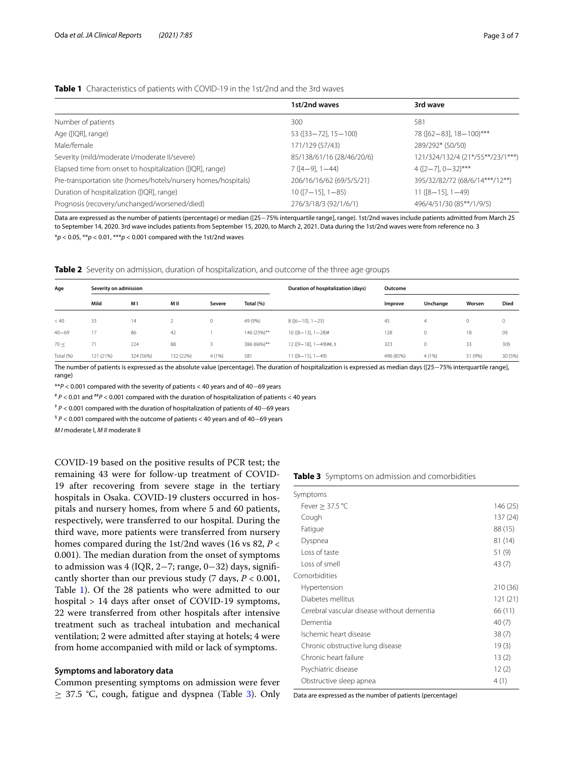# <span id="page-2-0"></span>**Table 1** Characteristics of patients with COVID-19 in the 1st/2nd and the 3rd waves

|                                                                | 1st/2nd waves              | 3rd wave                         |
|----------------------------------------------------------------|----------------------------|----------------------------------|
| Number of patients                                             | 300                        | 581                              |
| Age ([IQR], range)                                             | $53 ([33 - 72], 15 - 100)$ | 78 ([62-83], 18-100)***          |
| Male/female                                                    | 171/129 (57/43)            | 289/292* (50/50)                 |
| Severity (mild/moderate l/moderate ll/severe)                  | 85/138/61/16 (28/46/20/6)  | 121/324/132/4 (21*/55**/23/1***) |
| Elapsed time from onset to hospitalization ([IQR], range)      | $7([4-9], 1-44)$           | $4([2-7], 0-32)$ ***             |
| Pre-transportation site (homes/hotels/nursery homes/hospitals) | 206/16/16/62 (69/5/5/21)   | 395/32/82/72 (68/6/14***/12**)   |
| Duration of hospitalization ([IQR], range)                     | $10([7-15], 1-85)$         | $11([8-15], 1-49)$               |
| Prognosis (recovery/unchanged/worsened/died)                   | 276/3/18/3 (92/1/6/1)      | 496/4/51/30 (85**/1/9/5)         |

Data are expressed as the number of patients (percentage) or median ([25−75% interquartile range], range). 1st/2nd waves include patients admitted from March 25 to September 14, 2020. 3rd wave includes patients from September 15, 2020, to March 2, 2021. Data during the 1st/2nd waves were from reference no. 3 \**p* < 0.05, \*\**p* < 0.01, \*\*\**p* < 0.001 compared with the 1st/2nd waves

<span id="page-2-1"></span>**Table 2** Severity on admission, duration of hospitalization, and outcome of the three age groups

| Age       | Severity on admission |           |           |             | Duration of hospitalization (days) | Outcome                  |           |          |         |             |
|-----------|-----------------------|-----------|-----------|-------------|------------------------------------|--------------------------|-----------|----------|---------|-------------|
|           | Mild                  | МI        | M II      | Severe      | Total (%)                          |                          | Improve   | Unchange | Worsen  | <b>Died</b> |
| < 40      | 33                    | 14        |           | $\mathbf 0$ | 49 (9%)                            | $8([6-10], 1-25)$        | 45        | 4        | 0       | $\mathbf 0$ |
| $40 - 69$ | 17                    | 86        | 42        |             | 146 (25%)**                        | $10([8-13], 1-28)$ #     | 128       | $\circ$  | 18      | 05          |
| 70 <      | 71                    | 224       | 88        |             | 386 (66%)**                        | $12([9-18], 1-49)$ ##, ‡ | 323       | $\circ$  | 33      | 305         |
| Total (%) | 121 (21%)             | 324 (56%) | 132 (22%) | 4(1%)       | 581                                | $11([8-15], 1-49)$       | 496 (85%) | 4(1%)    | 51 (9%) | 30 (5%)     |

The number of patients is expressed as the absolute value (percentage). The duration of hospitalization is expressed as median days ([25−75% interquartile range], range)

\*\**P* < 0.001 compared with the severity of patients < 40 years and of 40−69 years

# *P* < 0.01 and ##*P* < 0.001 compared with the duration of hospitalization of patients < 40 years

‡ *<sup>P</sup>* < 0.001 compared with the duration of hospitalization of patients of 40−69 years

§ *<sup>P</sup>* < 0.001 compared with the outcome of patients < 40 years and of 40−69 years

*M I* moderate I, *M II* moderate II

COVID-19 based on the positive results of PCR test; the remaining 43 were for follow-up treatment of COVID-19 after recovering from severe stage in the tertiary hospitals in Osaka. COVID-19 clusters occurred in hospitals and nursery homes, from where 5 and 60 patients, respectively, were transferred to our hospital. During the third wave, more patients were transferred from nursery homes compared during the 1st/2nd waves (16 vs 82, *P* < 0.001). The median duration from the onset of symptoms to admission was 4 (IQR, 2−7; range, 0−32) days, signifcantly shorter than our previous study (7 days, *P* < 0.001, Table [1\)](#page-2-0). Of the 28 patients who were admitted to our hospital > 14 days after onset of COVID-19 symptoms, 22 were transferred from other hospitals after intensive treatment such as tracheal intubation and mechanical ventilation; 2 were admitted after staying at hotels; 4 were from home accompanied with mild or lack of symptoms.

### **Symptoms and laboratory data**

Common presenting symptoms on admission were fever  $\geq$  37.5 °C, cough, fatigue and dyspnea (Table [3\)](#page-2-2). Only

<span id="page-2-2"></span>

|  |  |  |  |  |  | Table 3 Symptoms on admission and comorbidities |
|--|--|--|--|--|--|-------------------------------------------------|
|--|--|--|--|--|--|-------------------------------------------------|

| Symptoms                                   |          |
|--------------------------------------------|----------|
| Fever $>$ 37.5 °C                          | 146 (25) |
| Cough                                      | 137 (24) |
| Fatigue                                    | 88 (15)  |
| Dyspnea                                    | 81 (14)  |
| Loss of taste                              | 51 (9)   |
| Loss of smell                              | 43 (7)   |
| Comorbidities                              |          |
| Hypertension                               | 210 (36) |
| Diabetes mellitus                          | 121(21)  |
| Cerebral vascular disease without dementia | 66 (11)  |
| Dementia                                   | 40(7)    |
| Ischemic heart disease                     | 38(7)    |
| Chronic obstructive lung disease           | 19(3)    |
| Chronic heart failure                      | 13(2)    |
| Psychiatric disease                        | 12(2)    |
| Obstructive sleep apnea                    | 4(1)     |

Data are expressed as the number of patients (percentage)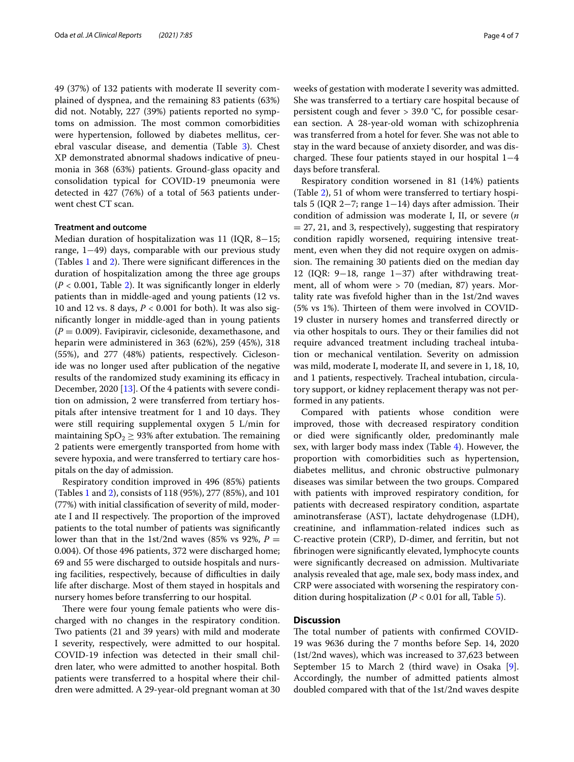49 (37%) of 132 patients with moderate II severity complained of dyspnea, and the remaining 83 patients (63%) did not. Notably, 227 (39%) patients reported no symptoms on admission. The most common comorbidities were hypertension, followed by diabetes mellitus, cerebral vascular disease, and dementia (Table [3](#page-2-2)). Chest XP demonstrated abnormal shadows indicative of pneumonia in 368 (63%) patients. Ground-glass opacity and consolidation typical for COVID-19 pneumonia were detected in 427 (76%) of a total of 563 patients underwent chest CT scan.

## **Treatment and outcome**

Median duration of hospitalization was 11 (IQR, 8−15; range, 1−49) days, comparable with our previous study (Tables  $1$  and  $2$ ). There were significant differences in the duration of hospitalization among the three age groups  $(P < 0.001$ , Table [2](#page-2-1)). It was significantly longer in elderly patients than in middle-aged and young patients (12 vs. 10 and 12 vs. 8 days, *P* < 0.001 for both). It was also signifcantly longer in middle-aged than in young patients  $(P = 0.009)$ . Favipiravir, ciclesonide, dexamethasone, and heparin were administered in 363 (62%), 259 (45%), 318 (55%), and 277 (48%) patients, respectively. Ciclesonide was no longer used after publication of the negative results of the randomized study examining its efficacy in December, 2020 [[13\]](#page-6-11). Of the 4 patients with severe condition on admission, 2 were transferred from tertiary hospitals after intensive treatment for 1 and 10 days. They were still requiring supplemental oxygen 5 L/min for maintaining  $SpO<sub>2</sub> \geq 93%$  after extubation. The remaining 2 patients were emergently transported from home with severe hypoxia, and were transferred to tertiary care hospitals on the day of admission.

Respiratory condition improved in 496 (85%) patients (Tables [1](#page-2-0) and [2\)](#page-2-1), consists of 118 (95%), 277 (85%), and 101 (77%) with initial classifcation of severity of mild, moderate I and II respectively. The proportion of the improved patients to the total number of patients was signifcantly lower than that in the 1st/2nd waves (85% vs 92%,  $P =$ 0.004). Of those 496 patients, 372 were discharged home; 69 and 55 were discharged to outside hospitals and nursing facilities, respectively, because of difficulties in daily life after discharge. Most of them stayed in hospitals and nursery homes before transferring to our hospital.

There were four young female patients who were discharged with no changes in the respiratory condition. Two patients (21 and 39 years) with mild and moderate I severity, respectively, were admitted to our hospital. COVID-19 infection was detected in their small children later, who were admitted to another hospital. Both patients were transferred to a hospital where their children were admitted. A 29-year-old pregnant woman at 30 weeks of gestation with moderate I severity was admitted. She was transferred to a tertiary care hospital because of persistent cough and fever > 39.0 °C, for possible cesarean section. A 28-year-old woman with schizophrenia was transferred from a hotel for fever. She was not able to stay in the ward because of anxiety disorder, and was discharged. These four patients stayed in our hospital  $1-4$ days before transferal.

Respiratory condition worsened in 81 (14%) patients (Table [2\)](#page-2-1), 51 of whom were transferred to tertiary hospitals 5 (IQR 2 $-7$ ; range 1 $-14$ ) days after admission. Their condition of admission was moderate I, II, or severe (*n*  $= 27, 21,$  and 3, respectively), suggesting that respiratory condition rapidly worsened, requiring intensive treatment, even when they did not require oxygen on admission. The remaining 30 patients died on the median day 12 (IQR: 9−18, range 1−37) after withdrawing treatment, all of whom were > 70 (median, 87) years. Mortality rate was fvefold higher than in the 1st/2nd waves (5% vs 1%). Thirteen of them were involved in COVID-19 cluster in nursery homes and transferred directly or via other hospitals to ours. They or their families did not require advanced treatment including tracheal intubation or mechanical ventilation. Severity on admission was mild, moderate I, moderate II, and severe in 1, 18, 10, and 1 patients, respectively. Tracheal intubation, circulatory support, or kidney replacement therapy was not performed in any patients.

Compared with patients whose condition were improved, those with decreased respiratory condition or died were signifcantly older, predominantly male sex, with larger body mass index (Table [4\)](#page-4-0). However, the proportion with comorbidities such as hypertension, diabetes mellitus, and chronic obstructive pulmonary diseases was similar between the two groups. Compared with patients with improved respiratory condition, for patients with decreased respiratory condition, aspartate aminotransferase (AST), lactate dehydrogenase (LDH), creatinine, and infammation-related indices such as C-reactive protein (CRP), D-dimer, and ferritin, but not fbrinogen were signifcantly elevated, lymphocyte counts were signifcantly decreased on admission. Multivariate analysis revealed that age, male sex, body mass index, and CRP were associated with worsening the respiratory condition during hospitalization (*P* < 0.01 for all, Table [5\)](#page-4-1).

# **Discussion**

The total number of patients with confirmed COVID-19 was 9636 during the 7 months before Sep. 14, 2020 (1st/2nd waves), which was increased to 37,623 between September 15 to March 2 (third wave) in Osaka [\[9](#page-6-7)]. Accordingly, the number of admitted patients almost doubled compared with that of the 1st/2nd waves despite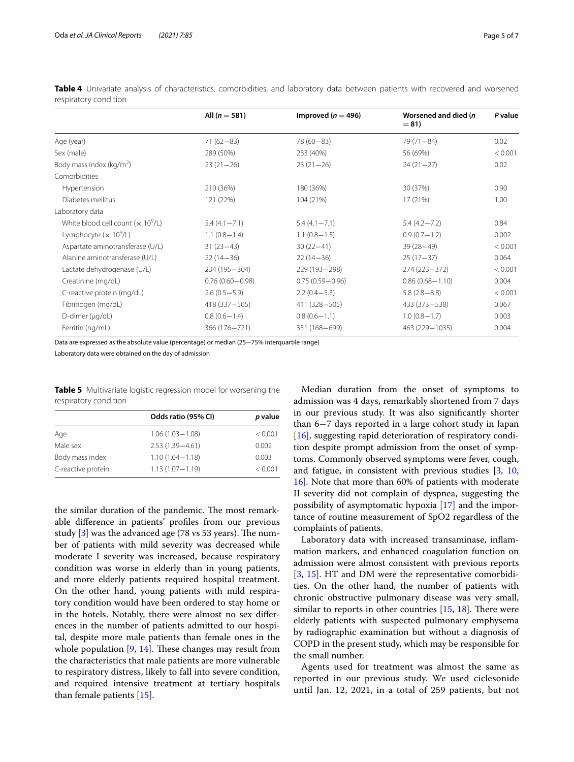| All ( $n = 581$ )   | Improved ( $n = 496$ ) | Worsened and died (n)<br>$= 81$ | P value |
|---------------------|------------------------|---------------------------------|---------|
| $71(62 - 83)$       | $78(60 - 83)$          | $79(71 - 84)$                   | 0.02    |
| 289 (50%)           | 233 (40%)              | 56 (69%)                        | < 0.001 |
| $23(21-26)$         | $23(21-26)$            | $24(21-27)$                     | 0.02    |
|                     |                        |                                 |         |
| 210 (36%)           | 180 (36%)              | 30 (37%)                        | 0.90    |
| 121 (22%)           | 104 (21%)              | 17(21%)                         | 1.00    |
|                     |                        |                                 |         |
| $5.4(4.1 - 7.1)$    | $5.4(4.1 - 7.1)$       | $5.4(4.2 - 7.2)$                | 0.84    |
| $1.1(0.8-1.4)$      | $1.1(0.8 - 1.5)$       | $0.9(0.7-1.2)$                  | 0.002   |
| $31(23-43)$         | $30(22 - 41)$          | $39(28 - 49)$                   | < 0.001 |
| $22(14-36)$         | $22(14-36)$            | $25(17-37)$                     | 0.064   |
| 234 (195 - 304)     | 229 (193 - 298)        | 274 (223 - 372)                 | < 0.001 |
| $0.76(0.60 - 0.98)$ | $0.75(0.59 - 0.96)$    | $0.86(0.68 - 1.10)$             | 0.004   |
| $2.6(0.5-5.9)$      | $2.2(0.4 - 5.3)$       | $5.8(2.8 - 8.8)$                | < 0.001 |
| 418 (337-505)       | 411 (328-505)          | 433 (373 - 538)                 | 0.067   |
| $0.8(0.6-1.4)$      | $0.8(0.6-1.1)$         | $1.0(0.8 - 1.7)$                | 0.003   |
| 366 (176 - 721)     | 351 (168-699)          | 463 (229 - 1035)                | 0.004   |
|                     |                        |                                 |         |

<span id="page-4-0"></span>Table 4 Univariate analysis of characteristics, comorbidities, and laboratory data between patients with recovered and worsened respiratory condition

Data are expressed as the absolute value (percentage) or median (25−75% interquartile range)

Laboratory data were obtained on the day of admission

<span id="page-4-1"></span>**Table 5** Multivariate logistic regression model for worsening the respiratory condition

|                    | Odds ratio (95% CI) | p value |
|--------------------|---------------------|---------|
| Age                | $1.06(1.03 - 1.08)$ | < 0.001 |
| Male sex           | $2.53(1.39 - 4.61)$ | 0.002   |
| Body mass index    | $1.10(1.04 - 1.18)$ | 0.003   |
| C-reactive protein | $1.13(1.07 - 1.19)$ | < 0.001 |

the similar duration of the pandemic. The most remarkable diference in patients' profles from our previous study  $[3]$  $[3]$  was the advanced age (78 vs 53 years). The number of patients with mild severity was decreased while moderate I severity was increased, because respiratory condition was worse in elderly than in young patients, and more elderly patients required hospital treatment. On the other hand, young patients with mild respiratory condition would have been ordered to stay home or in the hotels. Notably, there were almost no sex diferences in the number of patients admitted to our hospital, despite more male patients than female ones in the whole population  $[9, 14]$  $[9, 14]$  $[9, 14]$  $[9, 14]$  $[9, 14]$ . These changes may result from the characteristics that male patients are more vulnerable to respiratory distress, likely to fall into severe condition, and required intensive treatment at tertiary hospitals than female patients [[15\]](#page-6-13).

Median duration from the onset of symptoms to admission was 4 days, remarkably shortened from 7 days in our previous study. It was also signifcantly shorter than 6−7 days reported in a large cohort study in Japan [[16\]](#page-6-14), suggesting rapid deterioration of respiratory condition despite prompt admission from the onset of symptoms. Commonly observed symptoms were fever, cough, and fatigue, in consistent with previous studies [\[3,](#page-6-2) [10](#page-6-8), [16\]](#page-6-14). Note that more than 60% of patients with moderate II severity did not complain of dyspnea, suggesting the possibility of asymptomatic hypoxia [[17\]](#page-6-15) and the importance of routine measurement of SpO2 regardless of the complaints of patients.

Laboratory data with increased transaminase, infammation markers, and enhanced coagulation function on admission were almost consistent with previous reports [[3,](#page-6-2) [15](#page-6-13)]. HT and DM were the representative comorbidities. On the other hand, the number of patients with chronic obstructive pulmonary disease was very small, similar to reports in other countries  $[15, 18]$  $[15, 18]$  $[15, 18]$  $[15, 18]$  $[15, 18]$ . There were elderly patients with suspected pulmonary emphysema by radiographic examination but without a diagnosis of COPD in the present study, which may be responsible for the small number.

Agents used for treatment was almost the same as reported in our previous study. We used ciclesonide until Jan. 12, 2021, in a total of 259 patients, but not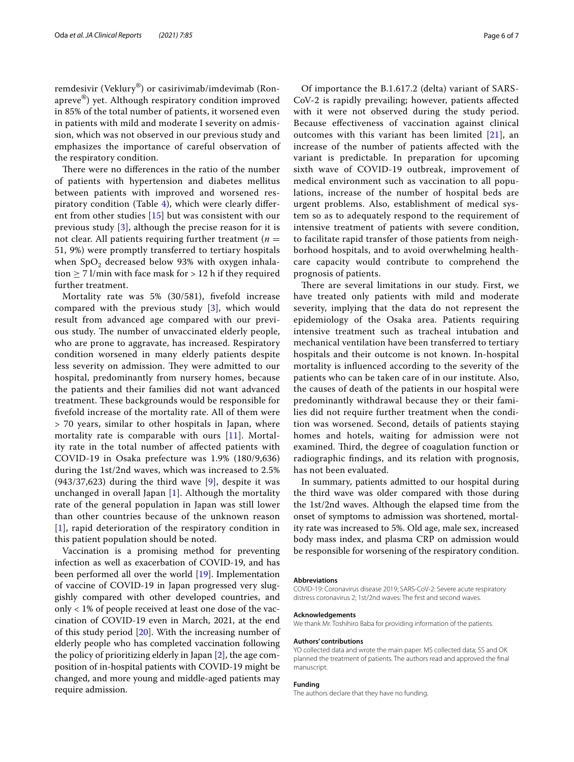remdesivir (Veklury®) or casirivimab/imdevimab (Ronapreve®) yet. Although respiratory condition improved in 85% of the total number of patients, it worsened even in patients with mild and moderate I severity on admission, which was not observed in our previous study and emphasizes the importance of careful observation of the respiratory condition.

There were no differences in the ratio of the number of patients with hypertension and diabetes mellitus between patients with improved and worsened respiratory condition (Table [4\)](#page-4-0), which were clearly diferent from other studies [\[15](#page-6-13)] but was consistent with our previous study  $[3]$  $[3]$  $[3]$ , although the precise reason for it is not clear. All patients requiring further treatment  $(n =$ 51, 9%) were promptly transferred to tertiary hospitals when  $SpO<sub>2</sub>$  decreased below 93% with oxygen inhalation  $\geq$  7 l/min with face mask for  $>$  12 h if they required further treatment.

Mortality rate was 5% (30/581), fvefold increase compared with the previous study [[3\]](#page-6-2), which would result from advanced age compared with our previous study. The number of unvaccinated elderly people, who are prone to aggravate, has increased. Respiratory condition worsened in many elderly patients despite less severity on admission. They were admitted to our hospital, predominantly from nursery homes, because the patients and their families did not want advanced treatment. These backgrounds would be responsible for fvefold increase of the mortality rate. All of them were > 70 years, similar to other hospitals in Japan, where mortality rate is comparable with ours [\[11](#page-6-9)]. Mortality rate in the total number of afected patients with COVID-19 in Osaka prefecture was 1.9% (180/9,636) during the 1st/2nd waves, which was increased to 2.5%  $(943/37,623)$  $(943/37,623)$  $(943/37,623)$  during the third wave  $[9]$ , despite it was unchanged in overall Japan [\[1\]](#page-6-0). Although the mortality rate of the general population in Japan was still lower than other countries because of the unknown reason [[1](#page-6-0)], rapid deterioration of the respiratory condition in this patient population should be noted.

Vaccination is a promising method for preventing infection as well as exacerbation of COVID-19, and has been performed all over the world [\[19](#page-6-17)]. Implementation of vaccine of COVID-19 in Japan progressed very sluggishly compared with other developed countries, and only < 1% of people received at least one dose of the vaccination of COVID-19 even in March, 2021, at the end of this study period [\[20\]](#page-6-18). With the increasing number of elderly people who has completed vaccination following the policy of prioritizing elderly in Japan [[2\]](#page-6-1), the age composition of in-hospital patients with COVID-19 might be changed, and more young and middle-aged patients may require admission.

Of importance the B.1.617.2 (delta) variant of SARS-CoV-2 is rapidly prevailing; however, patients afected with it were not observed during the study period. Because efectiveness of vaccination against clinical outcomes with this variant has been limited [\[21](#page-6-19)], an increase of the number of patients afected with the variant is predictable. In preparation for upcoming sixth wave of COVID-19 outbreak, improvement of medical environment such as vaccination to all populations, increase of the number of hospital beds are urgent problems. Also, establishment of medical system so as to adequately respond to the requirement of intensive treatment of patients with severe condition, to facilitate rapid transfer of those patients from neighborhood hospitals, and to avoid overwhelming healthcare capacity would contribute to comprehend the prognosis of patients.

There are several limitations in our study. First, we have treated only patients with mild and moderate severity, implying that the data do not represent the epidemiology of the Osaka area. Patients requiring intensive treatment such as tracheal intubation and mechanical ventilation have been transferred to tertiary hospitals and their outcome is not known. In-hospital mortality is infuenced according to the severity of the patients who can be taken care of in our institute. Also, the causes of death of the patients in our hospital were predominantly withdrawal because they or their families did not require further treatment when the condition was worsened. Second, details of patients staying homes and hotels, waiting for admission were not examined. Third, the degree of coagulation function or radiographic fndings, and its relation with prognosis, has not been evaluated.

In summary, patients admitted to our hospital during the third wave was older compared with those during the 1st/2nd waves. Although the elapsed time from the onset of symptoms to admission was shortened, mortality rate was increased to 5%. Old age, male sex, increased body mass index, and plasma CRP on admission would be responsible for worsening of the respiratory condition.

#### **Abbreviations**

COVID-19: Coronavirus disease 2019; SARS-CoV-2: Severe acute respiratory distress coronavirus 2; 1st/2nd waves: The frst and second waves.

#### **Acknowledgements**

We thank Mr. Toshihiro Baba for providing information of the patients.

#### **Authors' contributions**

YO collected data and wrote the main paper. MS collected data; SS and OK planned the treatment of patients. The authors read and approved the fnal manuscript.

#### **Funding**

The authors declare that they have no funding.